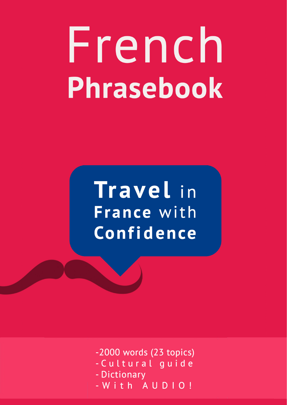# French Phrasebook

## Travel in France with Confidence

-2000 words (23 topics)

- Cultural guide
- Dictionary
- With AUDIO!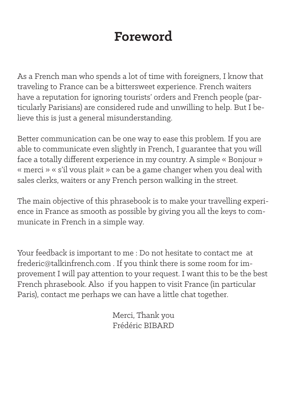#### **Foreword**

As a French man who spends a lot of time with foreigners, I know that traveling to France can be a bittersweet experience. French waiters have a reputation for ignoring tourists' orders and French people (particularly Parisians) are considered rude and unwilling to help. But I believe this is just a general misunderstanding.

Better communication can be one way to ease this problem. If you are able to communicate even slightly in French, I guarantee that you will face a totally different experience in my country. A simple « Bonjour » « merci » « s'il vous plait » can be a game changer when you deal with sales clerks, waiters or any French person walking in the street.

The main objective of this phrasebook is to make your travelling experience in France as smooth as possible by giving you all the keys to communicate in French in a simple way.

Your feedback is important to me : Do not hesitate to contact me at frederic@talkinfrench.com . If you think there is some room for improvement I will pay attention to your request. I want this to be the best French phrasebook. Also if you happen to visit France (in particular Paris), contact me perhaps we can have a little chat together.

> Merci, Thank you Frédéric BIBARD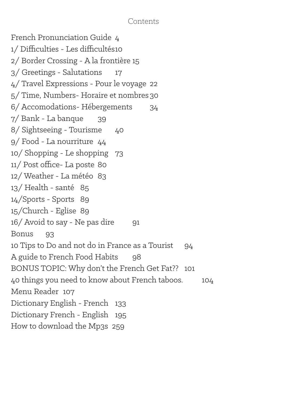#### Contents

French Pronunciation Guide 4 1/ Difficulties - Les difficultés10 2/ Border Crossing - A la frontière 15 3/ Greetings - Salutations 17 4/ Travel Expressions - Pour le voyage 22 5/ Time, Numbers- Horaire et nombres 30 6/ Accomodations- Hébergements 34 7/ Bank - La banque 39 8/ Sightseeing - Tourisme 40 9/ Food - La nourriture 44 10/ Shopping - Le shopping 73 11/ Post office- La poste 80 12/ Weather - La météo 83 13/ Health - santé 85 14/Sports - Sports 89 15/Church - Eglise 89 16/ Avoid to say - Ne pas dire 91 Bonus 93 10 Tips to Do and not do in France as a Tourist 94 A guide to French Food Habits 98 BONUS TOPIC: Why don't the French Get Fat?? 101 40 things you need to know about French taboos. 104 Menu Reader 107 Dictionary English - French 133 Dictionary French - English 195 How to download the Mp3s 259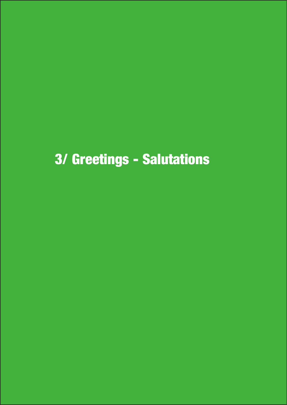### 3/ Greetings - Salutations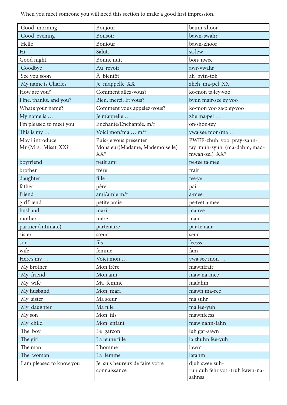When you meet someone you will need this section to make a good first impression.

| Good morning             | Bonjour                                        | baum-zhoor                                                  |
|--------------------------|------------------------------------------------|-------------------------------------------------------------|
| Good evening             | Bonsoir                                        | bawn-swahr                                                  |
| Hello                    | Bonjour                                        | bawn-zhoor                                                  |
| Hi.                      | Salut.                                         | sa-lew                                                      |
| Good night.              | Bonne nuit                                     | bon · nwee                                                  |
| Goodbye                  | Au revoir                                      | awr-vwahr                                                   |
| See you soon             | À bientôt                                      | ah bytn-toh                                                 |
| My name is Charles       | Je m'appelle XX                                | zheh ma-pel XX                                              |
| How are you?             | Comment allez-vous?                            | ko·mon ta·ley·voo                                           |
| Fine, thanks. and you?   | Bien, merci. Et vous?                          | byun mair-see ey voo                                        |
| What's your name?        | Comment vous appelez-vous?                     | ko·mon voo za·pley·voo                                      |
| My name is               | Je m'appelle                                   | zhe ma-pel                                                  |
| I'm pleased to meet you  | Enchanté/Enchantée. m/f                        | on-shon-tey                                                 |
| This is my               | Voici mon/ma  m/f                              | vwa·see mon/ma                                              |
| May i introduce          | Puis-je vous présenter                         | PWEE-zhuh voo pray-zahn-                                    |
| Mr (Mrs, Miss) XX?       | Monsieur(Madame, Mademoiselle)<br>XX?          | tay muh-syuh (ma-dahm, mad-<br>mwah-zel) XX?                |
| boyfriend                | petit ami                                      | pe-tee ta-mee                                               |
| brother                  | frère                                          | frair                                                       |
| daughter                 | fille                                          | fee-ye                                                      |
| father                   | père                                           | pair                                                        |
| friend                   | ami/amie m/f                                   | a·mee                                                       |
| girlfriend               | petite amie                                    | pe-teet a-mee                                               |
| husband                  | mari                                           | ma <sub>ree</sub>                                           |
| mother                   | mère                                           | mair                                                        |
| partner (intimate)       | partenaire                                     | par-te-nair                                                 |
| sister                   | sœur                                           | seur                                                        |
| son                      | fils                                           | feesss                                                      |
| wife                     | femme                                          | fam                                                         |
| Here's my                | Voici mon                                      | vwa·see mon                                                 |
| My brother               | Mon frère                                      | mawnfrair                                                   |
| My friend                | Mon ami                                        | maw na-mee                                                  |
| My wife                  | Ma femme                                       | mafahm                                                      |
| My husband               | Mon mari                                       | mawn ma-ree                                                 |
| My sister                | Ma sœur                                        | ma suhr                                                     |
| My daughter              | Ma fille                                       | ma fee-yuh                                                  |
| My son                   | Mon fils                                       | mawnfeess                                                   |
| My child                 | Mon enfant                                     | maw nahn-fahn                                               |
| The boy                  | Le garçon                                      | luh gar-sawn                                                |
| The girl                 | La jeune fille                                 | la zhuhn fee-yuh                                            |
| The man                  | <b>L'homme</b>                                 | lawm                                                        |
| The woman                | La femme                                       | lafahm                                                      |
| I am pleased to know you | Je suis heureux de faire votre<br>connaissance | djuh swee zuh-<br>ruh duh fehr vot -truh kawn-na-<br>sahnss |